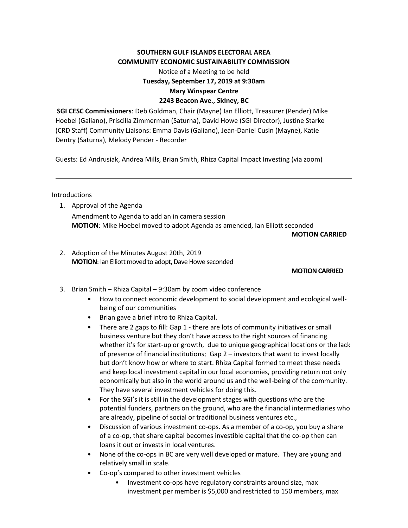## **SOUTHERN GULF ISLANDS ELECTORAL AREA COMMUNITY ECONOMIC SUSTAINABILITY COMMISSION**

Notice of a Meeting to be held **Tuesday, September 17, 2019 at 9:30am Mary Winspear Centre 2243 Beacon Ave., Sidney, BC**

**SGI CESC Commissioners**: Deb Goldman, Chair (Mayne) Ian Elliott, Treasurer (Pender) Mike Hoebel (Galiano), Priscilla Zimmerman (Saturna), David Howe (SGI Director), Justine Starke (CRD Staff) Community Liaisons: Emma Davis (Galiano), Jean-Daniel Cusin (Mayne), Katie Dentry (Saturna), Melody Pender - Recorder

Guests: Ed Andrusiak, Andrea Mills, Brian Smith, Rhiza Capital Impact Investing (via zoom)

### Introductions

1. Approval of the Agenda Amendment to Agenda to add an in camera session **MOTION**: Mike Hoebel moved to adopt Agenda as amended, Ian Elliott seconded

**MOTION CARRIED**

2. Adoption of the Minutes August 20th, 2019 **MOTION:** Ian Elliott moved to adopt, Dave Howe seconded

#### **MOTION CARRIED**

- 3. Brian Smith Rhiza Capital 9:30am by zoom video conference
	- How to connect economic development to social development and ecological wellbeing of our communities
	- Brian gave a brief intro to Rhiza Capital.
	- There are 2 gaps to fill: Gap 1 there are lots of community initiatives or small business venture but they don't have access to the right sources of financing whether it's for start-up or growth, due to unique geographical locations or the lack of presence of financial institutions; Gap 2 – investors that want to invest locally but don't know how or where to start. Rhiza Capital formed to meet these needs and keep local investment capital in our local economies, providing return not only economically but also in the world around us and the well-being of the community. They have several investment vehicles for doing this.
	- For the SGI's it is still in the development stages with questions who are the potential funders, partners on the ground, who are the financial intermediaries who are already, pipeline of social or traditional business ventures etc.,
	- Discussion of various investment co-ops. As a member of a co-op, you buy a share of a co-op, that share capital becomes investible capital that the co-op then can loans it out or invests in local ventures.
	- None of the co-ops in BC are very well developed or mature. They are young and relatively small in scale.
	- Co-op's compared to other investment vehicles
		- Investment co-ops have regulatory constraints around size, max investment per member is \$5,000 and restricted to 150 members, max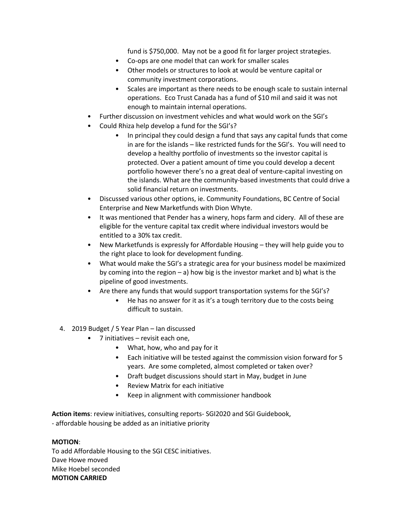fund is \$750,000. May not be a good fit for larger project strategies.

- Co-ops are one model that can work for smaller scales
- Other models or structures to look at would be venture capital or community investment corporations.
- Scales are important as there needs to be enough scale to sustain internal operations. Eco Trust Canada has a fund of \$10 mil and said it was not enough to maintain internal operations.
- Further discussion on investment vehicles and what would work on the SGI's
- Could Rhiza help develop a fund for the SGI's?
	- In principal they could design a fund that says any capital funds that come in are for the islands – like restricted funds for the SGI's. You will need to develop a healthy portfolio of investments so the investor capital is protected. Over a patient amount of time you could develop a decent portfolio however there's no a great deal of venture-capital investing on the islands. What are the community-based investments that could drive a solid financial return on investments.
- Discussed various other options, ie. Community Foundations, BC Centre of Social Enterprise and New Marketfunds with Dion Whyte.
- It was mentioned that Pender has a winery, hops farm and cidery. All of these are eligible for the venture capital tax credit where individual investors would be entitled to a 30% tax credit.
- New Marketfunds is expressly for Affordable Housing they will help guide you to the right place to look for development funding.
- What would make the SGI's a strategic area for your business model be maximized by coming into the region  $-$  a) how big is the investor market and b) what is the pipeline of good investments.
- Are there any funds that would support transportation systems for the SGI's?
	- He has no answer for it as it's a tough territory due to the costs being difficult to sustain.
- 4. 2019 Budget / 5 Year Plan Ian discussed
	- 7 initiatives revisit each one,
		- What, how, who and pay for it
		- Each initiative will be tested against the commission vision forward for 5 years. Are some completed, almost completed or taken over?
		- Draft budget discussions should start in May, budget in June
		- Review Matrix for each initiative
		- Keep in alignment with commissioner handbook

**Action items**: review initiatives, consulting reports- SGI2020 and SGI Guidebook,

- affordable housing be added as an initiative priority

# **MOTION**:

To add Affordable Housing to the SGI CESC initiatives. Dave Howe moved Mike Hoebel seconded **MOTION CARRIED**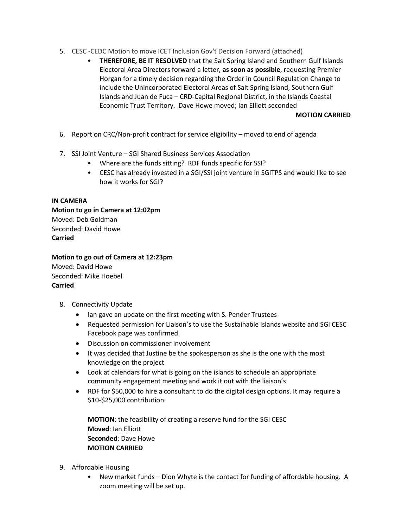- 5. CESC -CEDC Motion to move ICET Inclusion Gov't Decision Forward (attached)
	- **THEREFORE, BE IT RESOLVED** that the Salt Spring Island and Southern Gulf Islands Electoral Area Directors forward a letter, **as soon as possible**, requesting Premier Horgan for a timely decision regarding the Order in Council Regulation Change to include the Unincorporated Electoral Areas of Salt Spring Island, Southern Gulf Islands and Juan de Fuca – CRD-Capital Regional District, in the Islands Coastal Economic Trust Territory. Dave Howe moved; Ian Elliott seconded

### **MOTION CARRIED**

- 6. Report on CRC/Non-profit contract for service eligibility moved to end of agenda
- 7. SSI Joint Venture SGI Shared Business Services Association
	- Where are the funds sitting? RDF funds specific for SSI?
	- CESC has already invested in a SGI/SSI joint venture in SGITPS and would like to see how it works for SGI?

### **IN CAMERA**

**Motion to go in Camera at 12:02pm** Moved: Deb Goldman Seconded: David Howe **Carried**

**Motion to go out of Camera at 12:23pm** Moved: David Howe Seconded: Mike Hoebel **Carried**

- 8. Connectivity Update
	- Ian gave an update on the first meeting with S. Pender Trustees
	- Requested permission for Liaison's to use the Sustainable islands website and SGI CESC Facebook page was confirmed.
	- Discussion on commissioner involvement
	- It was decided that Justine be the spokesperson as she is the one with the most knowledge on the project
	- Look at calendars for what is going on the islands to schedule an appropriate community engagement meeting and work it out with the liaison's
	- RDF for \$50,000 to hire a consultant to do the digital design options. It may require a \$10-\$25,000 contribution.

**MOTION**: the feasibility of creating a reserve fund for the SGI CESC **Moved**: Ian Elliott **Seconded**: Dave Howe **MOTION CARRIED**

- 9. Affordable Housing
	- New market funds Dion Whyte is the contact for funding of affordable housing. A zoom meeting will be set up.